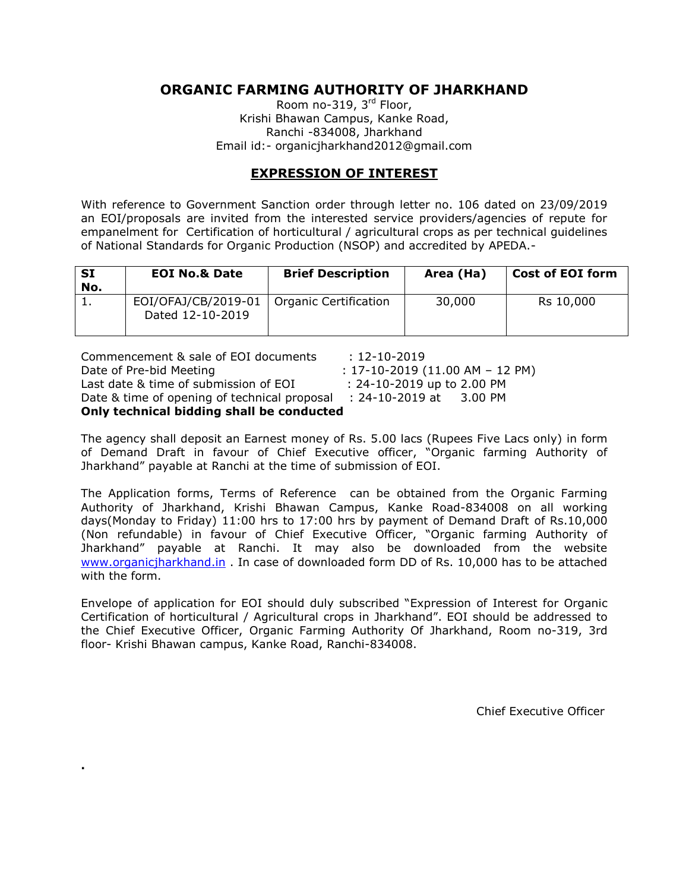## **ORGANIC FARMING AUTHORITY OF JHARKHAND**

Room no-319, 3<sup>rd</sup> Floor, Krishi Bhawan Campus, Kanke Road, Ranchi -834008, Jharkhand Email id:- organicjharkhand2012@gmail.com

## **EXPRESSION OF INTEREST**

With reference to Government Sanction order through letter no. 106 dated on 23/09/2019 an EOI/proposals are invited from the interested service providers/agencies of repute for empanelment for Certification of horticultural / agricultural crops as per technical guidelines of National Standards for Organic Production (NSOP) and accredited by APEDA.-

| ∣ SI<br>No. | <b>EOI No.&amp; Date</b>                | <b>Brief Description</b>     | Area (Ha) | Cost of EOI form |
|-------------|-----------------------------------------|------------------------------|-----------|------------------|
|             | EOI/OFAJ/CB/2019-01<br>Dated 12-10-2019 | <b>Organic Certification</b> | 30,000    | Rs 10,000        |

Commencement & sale of EOI documents : 12-10-2019 Date of Pre-bid Meeting : 17-10-2019 (11.00 AM – 12 PM) Last date & time of submission of EOI : 24-10-2019 up to 2.00 PM Date & time of opening of technical proposal : 24-10-2019 at 3.00 PM **Only technical bidding shall be conducted**

The agency shall deposit an Earnest money of Rs. 5.00 lacs (Rupees Five Lacs only) in form of Demand Draft in favour of Chief Executive officer, "Organic farming Authority of Jharkhand" payable at Ranchi at the time of submission of EOI.

The Application forms, Terms of Reference can be obtained from the Organic Farming Authority of Jharkhand, Krishi Bhawan Campus, Kanke Road-834008 on all working days(Monday to Friday) 11:00 hrs to 17:00 hrs by payment of Demand Draft of Rs.10,000 (Non refundable) in favour of Chief Executive Officer, "Organic farming Authority of Jharkhand" payable at Ranchi. It may also be downloaded from the website [www.organicjharkhand.in](http://www.organicjharkhand.in/) . In case of downloaded form DD of Rs. 10,000 has to be attached with the form.

Envelope of application for EOI should duly subscribed "Expression of Interest for Organic Certification of horticultural / Agricultural crops in Jharkhand". EOI should be addressed to the Chief Executive Officer, Organic Farming Authority Of Jharkhand, Room no-319, 3rd floor- Krishi Bhawan campus, Kanke Road, Ranchi-834008.

**.**

Chief Executive Officer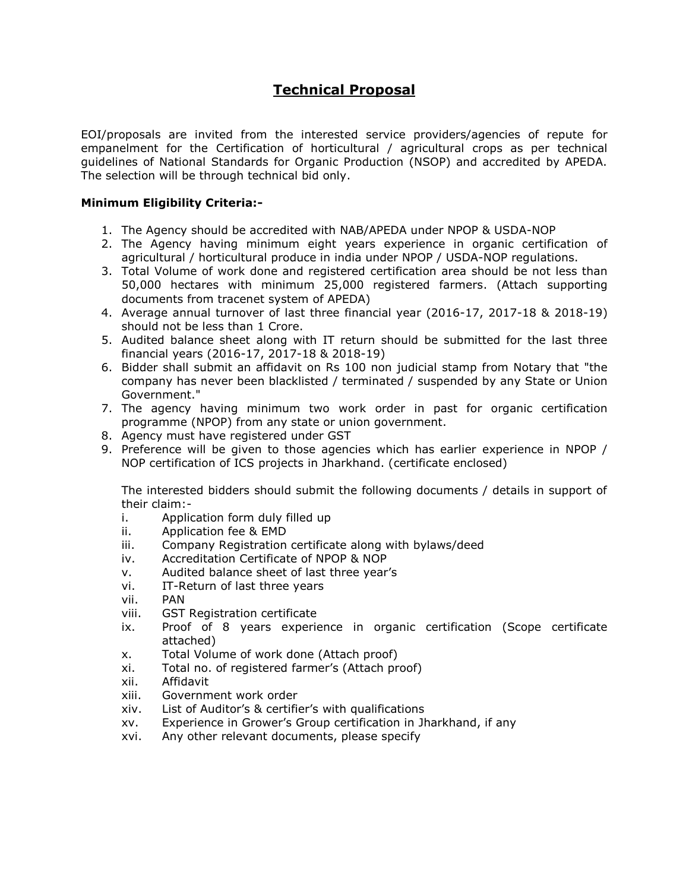# **Technical Proposal**

EOI/proposals are invited from the interested service providers/agencies of repute for empanelment for the Certification of horticultural / agricultural crops as per technical guidelines of National Standards for Organic Production (NSOP) and accredited by APEDA. The selection will be through technical bid only.

#### **Minimum Eligibility Criteria:-**

- 1. The Agency should be accredited with NAB/APEDA under NPOP & USDA-NOP
- 2. The Agency having minimum eight years experience in organic certification of agricultural / horticultural produce in india under NPOP / USDA-NOP regulations.
- 3. Total Volume of work done and registered certification area should be not less than 50,000 hectares with minimum 25,000 registered farmers. (Attach supporting documents from tracenet system of APEDA)
- 4. Average annual turnover of last three financial year (2016-17, 2017-18 & 2018-19) should not be less than 1 Crore.
- 5. Audited balance sheet along with IT return should be submitted for the last three financial years (2016-17, 2017-18 & 2018-19)
- 6. Bidder shall submit an affidavit on Rs 100 non judicial stamp from Notary that "the company has never been blacklisted / terminated / suspended by any State or Union Government."
- 7. The agency having minimum two work order in past for organic certification programme (NPOP) from any state or union government.
- 8. Agency must have registered under GST
- 9. Preference will be given to those agencies which has earlier experience in NPOP / NOP certification of ICS projects in Jharkhand. (certificate enclosed)

The interested bidders should submit the following documents / details in support of their claim:-

- i. Application form duly filled up
- ii. Application fee & EMD
- iii. Company Registration certificate along with bylaws/deed
- iv. Accreditation Certificate of NPOP & NOP
- v. Audited balance sheet of last three year's
- vi. IT-Return of last three years
- vii. PAN
- viii. GST Registration certificate
- ix. Proof of 8 years experience in organic certification (Scope certificate attached)
- x. Total Volume of work done (Attach proof)
- xi. Total no. of registered farmer's (Attach proof)
- xii. Affidavit
- xiii. Government work order
- xiv. List of Auditor's & certifier's with qualifications
- xv. Experience in Grower's Group certification in Jharkhand, if any
- xvi. Any other relevant documents, please specify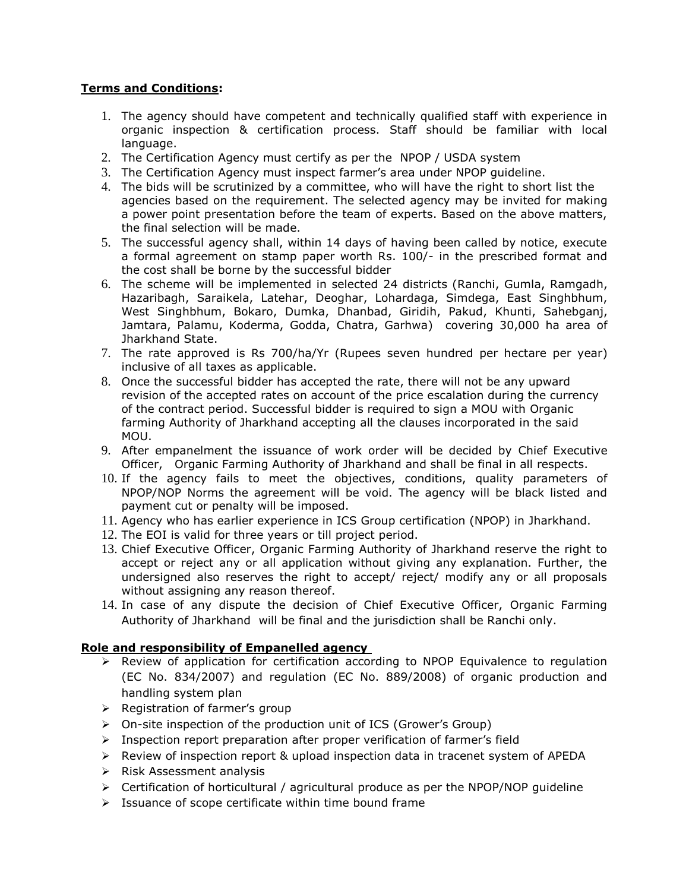#### **Terms and Conditions:**

- 1. The agency should have competent and technically qualified staff with experience in organic inspection & certification process. Staff should be familiar with local language.
- 2. The Certification Agency must certify as per the NPOP / USDA system
- 3. The Certification Agency must inspect farmer's area under NPOP guideline.
- 4. The bids will be scrutinized by a committee, who will have the right to short list the agencies based on the requirement. The selected agency may be invited for making a power point presentation before the team of experts. Based on the above matters, the final selection will be made.
- 5. The successful agency shall, within 14 days of having been called by notice, execute a formal agreement on stamp paper worth Rs. 100/- in the prescribed format and the cost shall be borne by the successful bidder
- 6. The scheme will be implemented in selected 24 districts (Ranchi, Gumla, Ramgadh, Hazaribagh, Saraikela, Latehar, Deoghar, Lohardaga, Simdega, East Singhbhum, West Singhbhum, Bokaro, Dumka, Dhanbad, Giridih, Pakud, Khunti, Sahebganj, Jamtara, Palamu, Koderma, Godda, Chatra, Garhwa) covering 30,000 ha area of Jharkhand State.
- 7. The rate approved is Rs 700/ha/Yr (Rupees seven hundred per hectare per year) inclusive of all taxes as applicable.
- 8. Once the successful bidder has accepted the rate, there will not be any upward revision of the accepted rates on account of the price escalation during the currency of the contract period. Successful bidder is required to sign a MOU with Organic farming Authority of Jharkhand accepting all the clauses incorporated in the said MOU.
- 9. After empanelment the issuance of work order will be decided by Chief Executive Officer, Organic Farming Authority of Jharkhand and shall be final in all respects.
- 10. If the agency fails to meet the objectives, conditions, quality parameters of NPOP/NOP Norms the agreement will be void. The agency will be black listed and payment cut or penalty will be imposed.
- 11. Agency who has earlier experience in ICS Group certification (NPOP) in Jharkhand.
- 12. The EOI is valid for three years or till project period.
- 13. Chief Executive Officer, Organic Farming Authority of Jharkhand reserve the right to accept or reject any or all application without giving any explanation. Further, the undersigned also reserves the right to accept/ reject/ modify any or all proposals without assigning any reason thereof.
- 14. In case of any dispute the decision of Chief Executive Officer, Organic Farming Authority of Jharkhand will be final and the jurisdiction shall be Ranchi only.

#### **Role and responsibility of Empanelled agency**

- Review of application for certification according to NPOP Equivalence to regulation (EC No. 834/2007) and regulation (EC No. 889/2008) of organic production and handling system plan
- $\triangleright$  Registration of farmer's group
- On-site inspection of the production unit of ICS (Grower's Group)
- $\triangleright$  Inspection report preparation after proper verification of farmer's field
- Review of inspection report & upload inspection data in tracenet system of APEDA
- $\triangleright$  Risk Assessment analysis
- $\triangleright$  Certification of horticultural / agricultural produce as per the NPOP/NOP guideline
- $\triangleright$  Issuance of scope certificate within time bound frame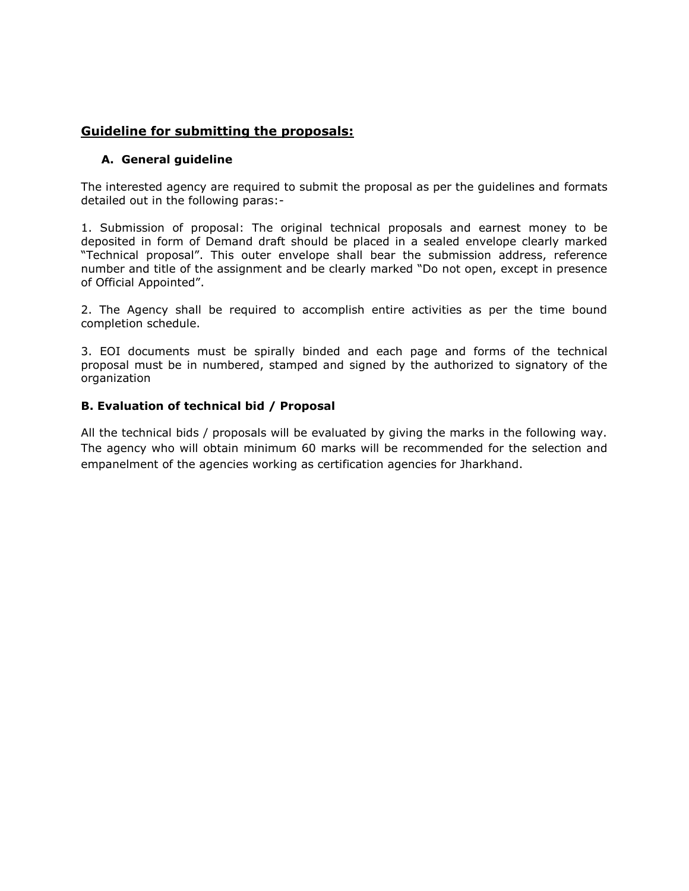### **Guideline for submitting the proposals:**

#### **A. General guideline**

The interested agency are required to submit the proposal as per the guidelines and formats detailed out in the following paras:-

1. Submission of proposal: The original technical proposals and earnest money to be deposited in form of Demand draft should be placed in a sealed envelope clearly marked "Technical proposal". This outer envelope shall bear the submission address, reference number and title of the assignment and be clearly marked "Do not open, except in presence of Official Appointed".

2. The Agency shall be required to accomplish entire activities as per the time bound completion schedule.

3. EOI documents must be spirally binded and each page and forms of the technical proposal must be in numbered, stamped and signed by the authorized to signatory of the organization

#### **B. Evaluation of technical bid / Proposal**

All the technical bids / proposals will be evaluated by giving the marks in the following way. The agency who will obtain minimum 60 marks will be recommended for the selection and empanelment of the agencies working as certification agencies for Jharkhand.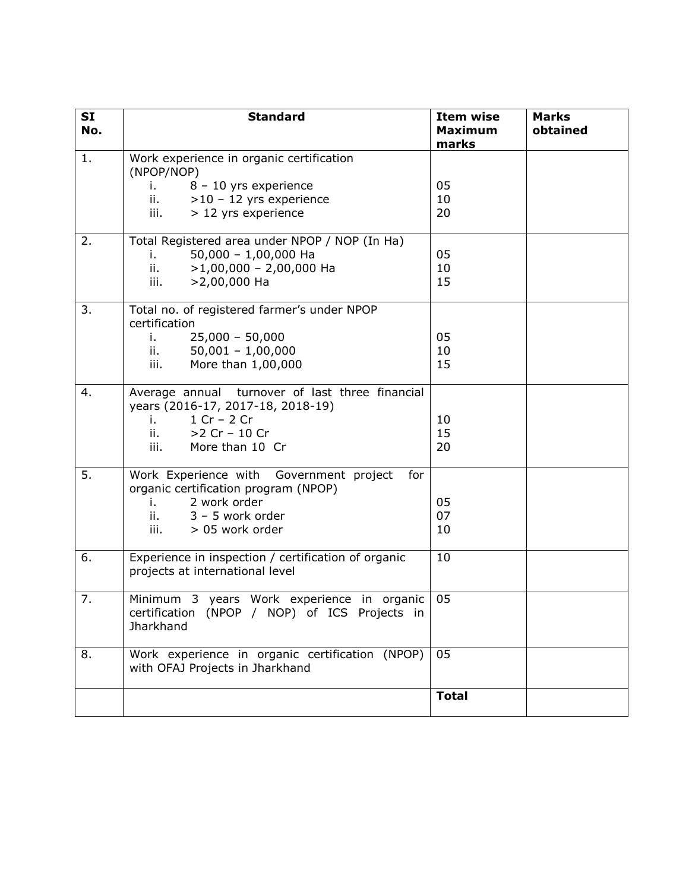| <b>SI</b><br>No. | <b>Standard</b>                                                                                                                                                                | <b>Item wise</b><br><b>Maximum</b><br>marks | <b>Marks</b><br>obtained |
|------------------|--------------------------------------------------------------------------------------------------------------------------------------------------------------------------------|---------------------------------------------|--------------------------|
| 1.               | Work experience in organic certification<br>(NPOP/NOP)<br>8 - 10 yrs experience<br>i. I<br>ii.<br>$>10 - 12$ yrs experience<br>> 12 yrs experience<br>iii.                     | 05<br>10<br>20                              |                          |
| 2.               | Total Registered area under NPOP / NOP (In Ha)<br>$50,000 - 1,00,000$ Ha<br>i.<br>$\mathbf{ii}$ .<br>$>1,00,000 - 2,00,000$ Ha<br>iii.<br>$>2,00,000$ Ha                       | 05<br>10<br>15                              |                          |
| 3.               | Total no. of registered farmer's under NPOP<br>certification<br>$25,000 - 50,000$<br>i.<br>$50,001 - 1,00,000$<br>$\mathbf{ii}$ , $\mathbf{iii}$<br>More than 1,00,000<br>iii. | 05<br>10<br>15                              |                          |
| 4.               | Average annual turnover of last three financial<br>years (2016-17, 2017-18, 2018-19)<br>$1 Cr - 2 Cr$<br>i. a<br>$>2$ Cr - 10 Cr<br>ii. T<br>iii.<br>More than 10 Cr           | 10<br>15<br>20                              |                          |
| 5.               | Work Experience with Government project<br>for<br>organic certification program (NPOP)<br>2 work order<br>i. a<br>ii.<br>$3 - 5$ work order<br>> 05 work order<br>iii.         | 05<br>07<br>10                              |                          |
| 6.               | Experience in inspection / certification of organic<br>projects at international level                                                                                         | 10                                          |                          |
| 7.               | Minimum 3 years Work experience in organic<br>certification (NPOP / NOP) of ICS Projects in<br>Jharkhand                                                                       | 05                                          |                          |
| 8.               | Work experience in organic certification (NPOP)<br>with OFAJ Projects in Jharkhand                                                                                             | 05                                          |                          |
|                  |                                                                                                                                                                                | <b>Total</b>                                |                          |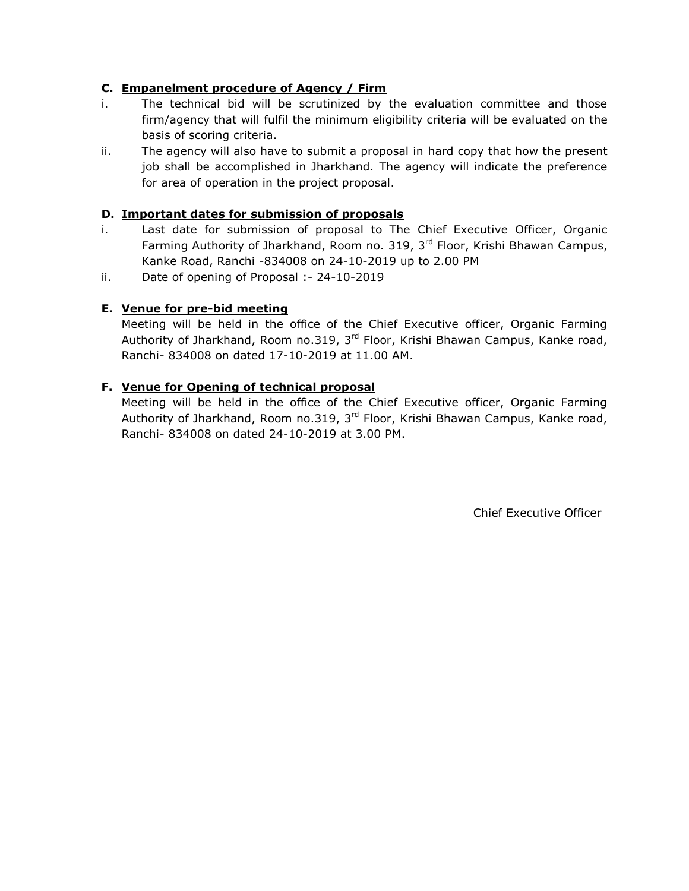#### **C. Empanelment procedure of Agency / Firm**

- i. The technical bid will be scrutinized by the evaluation committee and those firm/agency that will fulfil the minimum eligibility criteria will be evaluated on the basis of scoring criteria.
- ii. The agency will also have to submit a proposal in hard copy that how the present job shall be accomplished in Jharkhand. The agency will indicate the preference for area of operation in the project proposal.

#### **D. Important dates for submission of proposals**

- i. Last date for submission of proposal to The Chief Executive Officer, Organic Farming Authority of Jharkhand, Room no. 319, 3<sup>rd</sup> Floor, Krishi Bhawan Campus, Kanke Road, Ranchi -834008 on 24-10-2019 up to 2.00 PM
- ii. Date of opening of Proposal :- 24-10-2019

#### **E. Venue for pre-bid meeting**

Meeting will be held in the office of the Chief Executive officer, Organic Farming Authority of Jharkhand, Room no.319, 3<sup>rd</sup> Floor, Krishi Bhawan Campus, Kanke road, Ranchi- 834008 on dated 17-10-2019 at 11.00 AM.

#### **F. Venue for Opening of technical proposal**

Meeting will be held in the office of the Chief Executive officer, Organic Farming Authority of Jharkhand, Room no.319, 3<sup>rd</sup> Floor, Krishi Bhawan Campus, Kanke road, Ranchi- 834008 on dated 24-10-2019 at 3.00 PM.

Chief Executive Officer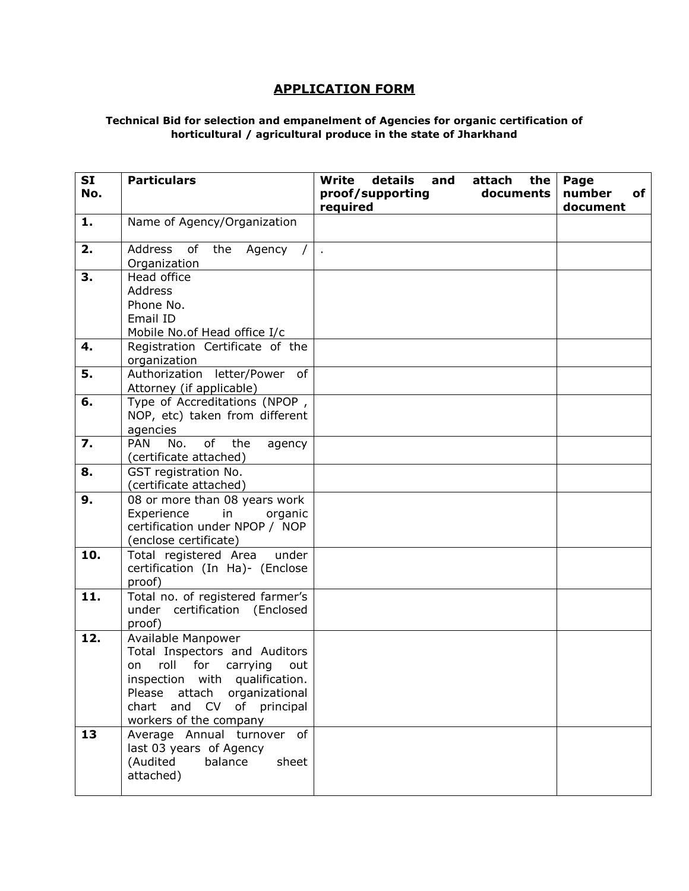# **APPLICATION FORM**

#### **Technical Bid for selection and empanelment of Agencies for organic certification of horticultural / agricultural produce in the state of Jharkhand**

| <b>SI</b><br>No. | <b>Particulars</b>                                                                                                                                                                                             | <b>Write</b><br>details<br>and<br>proof/supporting<br>required | attach<br>the<br>documents | Page<br>number<br>of<br>document |
|------------------|----------------------------------------------------------------------------------------------------------------------------------------------------------------------------------------------------------------|----------------------------------------------------------------|----------------------------|----------------------------------|
| 1.               | Name of Agency/Organization                                                                                                                                                                                    |                                                                |                            |                                  |
| 2.               | Address of the<br>Agency /<br>Organization                                                                                                                                                                     | $\sim$                                                         |                            |                                  |
| 3.               | Head office<br>Address<br>Phone No.<br>Email ID<br>Mobile No.of Head office I/c                                                                                                                                |                                                                |                            |                                  |
| 4.               | Registration Certificate of the<br>organization                                                                                                                                                                |                                                                |                            |                                  |
| 5.               | Authorization letter/Power of<br>Attorney (if applicable)                                                                                                                                                      |                                                                |                            |                                  |
| 6.               | Type of Accreditations (NPOP,<br>NOP, etc) taken from different<br>agencies                                                                                                                                    |                                                                |                            |                                  |
| 7.               | of<br><b>PAN</b><br>No.<br>the<br>agency<br>(certificate attached)                                                                                                                                             |                                                                |                            |                                  |
| 8.               | GST registration No.<br>(certificate attached)                                                                                                                                                                 |                                                                |                            |                                  |
| 9.               | 08 or more than 08 years work<br>Experience<br>in<br>organic<br>certification under NPOP / NOP<br>(enclose certificate)                                                                                        |                                                                |                            |                                  |
| 10.              | Total registered Area<br>under<br>certification (In Ha)- (Enclose<br>proof)                                                                                                                                    |                                                                |                            |                                  |
| 11.              | Total no. of registered farmer's<br>under certification (Enclosed<br>proof)                                                                                                                                    |                                                                |                            |                                  |
| 12.              | Available Manpower<br>Total Inspectors and Auditors<br>roll for carrying<br>on<br>out<br>inspection with qualification.<br>Please attach organizational<br>chart and CV of principal<br>workers of the company |                                                                |                            |                                  |
| 13               | Average Annual turnover of<br>last 03 years of Agency<br>(Audited<br>sheet<br>balance<br>attached)                                                                                                             |                                                                |                            |                                  |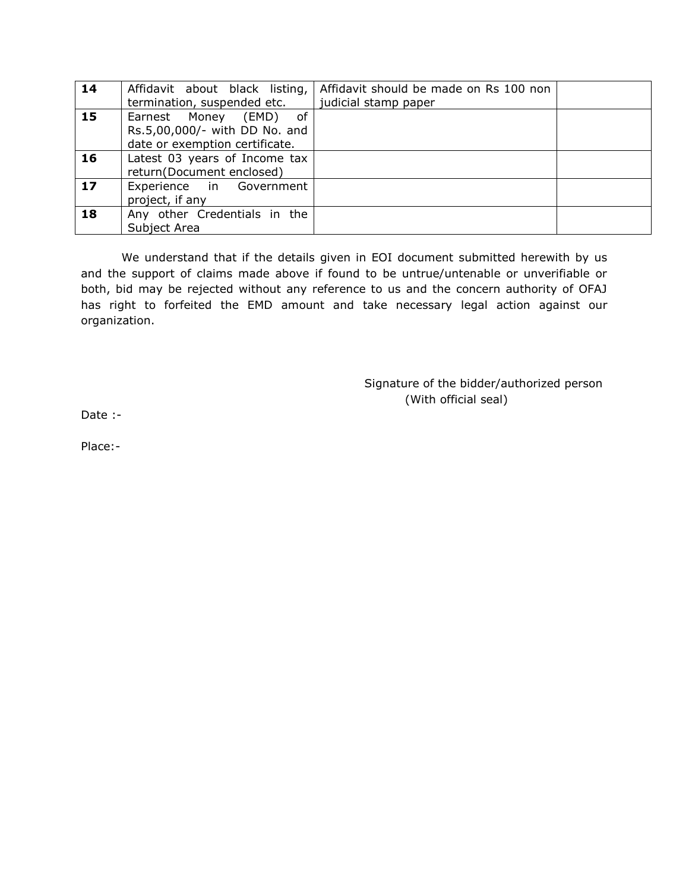| 14 |                                | Affidavit about black listing,   Affidavit should be made on Rs 100 non |  |
|----|--------------------------------|-------------------------------------------------------------------------|--|
|    | termination, suspended etc.    | judicial stamp paper                                                    |  |
| 15 | Earnest Money (EMD)<br>of      |                                                                         |  |
|    | Rs.5,00,000/- with DD No. and  |                                                                         |  |
|    | date or exemption certificate. |                                                                         |  |
| 16 | Latest 03 years of Income tax  |                                                                         |  |
|    | return(Document enclosed)      |                                                                         |  |
| 17 | Experience in Government       |                                                                         |  |
|    | project, if any                |                                                                         |  |
| 18 | Any other Credentials in the   |                                                                         |  |
|    | Subject Area                   |                                                                         |  |

We understand that if the details given in EOI document submitted herewith by us and the support of claims made above if found to be untrue/untenable or unverifiable or both, bid may be rejected without any reference to us and the concern authority of OFAJ has right to forfeited the EMD amount and take necessary legal action against our organization.

> Signature of the bidder/authorized person (With official seal)

Date :-

Place:-